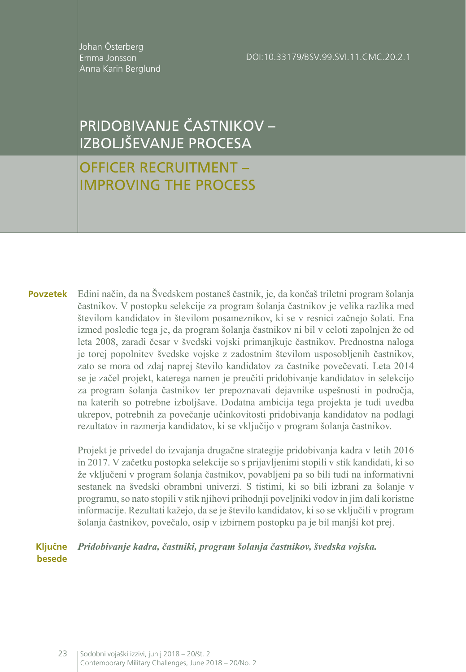Johan Österberg Emma Jonsson Anna Karin Berglund

DOI:10.33179/BSV.99.SVI.11.CMC.20.2.1

# PRIDOBIVANJE ČASTNIKOV – IZBOLJŠEVANJE PROCESA

# OFFICER RECRUITMENT – IMPROVING THE PROCESS

Edini način, da na Švedskem postaneš častnik, je, da končaš triletni program šolanja častnikov. V postopku selekcije za program šolanja častnikov je velika razlika med številom kandidatov in številom posameznikov, ki se v resnici začnejo šolati. Ena izmed posledic tega je, da program šolanja častnikov ni bil v celoti zapolnjen že od leta 2008, zaradi česar v švedski vojski primanjkuje častnikov. Prednostna naloga je torej popolnitev švedske vojske z zadostnim številom usposobljenih častnikov, zato se mora od zdaj naprej število kandidatov za častnike povečevati. Leta 2014 se je začel projekt, katerega namen je preučiti pridobivanje kandidatov in selekcijo za program šolanja častnikov ter prepoznavati dejavnike uspešnosti in področja, na katerih so potrebne izboljšave. Dodatna ambicija tega projekta je tudi uvedba ukrepov, potrebnih za povečanje učinkovitosti pridobivanja kandidatov na podlagi rezultatov in razmerja kandidatov, ki se vključijo v program šolanja častnikov. **Povzetek**

> Projekt je privedel do izvajanja drugačne strategije pridobivanja kadra v letih 2016 in 2017. V začetku postopka selekcije so s prijavljenimi stopili v stik kandidati, ki so že vključeni v program šolanja častnikov, povabljeni pa so bili tudi na informativni sestanek na švedski obrambni univerzi. S tistimi, ki so bili izbrani za šolanje v programu, so nato stopili v stik njihovi prihodnji poveljniki vodov in jim dali koristne informacije. Rezultati kažejo, da se je število kandidatov, ki so se vključili v program šolanja častnikov, povečalo, osip v izbirnem postopku pa je bil manjši kot prej.

#### *Pridobivanje kadra, častniki, program šolanja častnikov, švedska vojska.* **Ključne besede**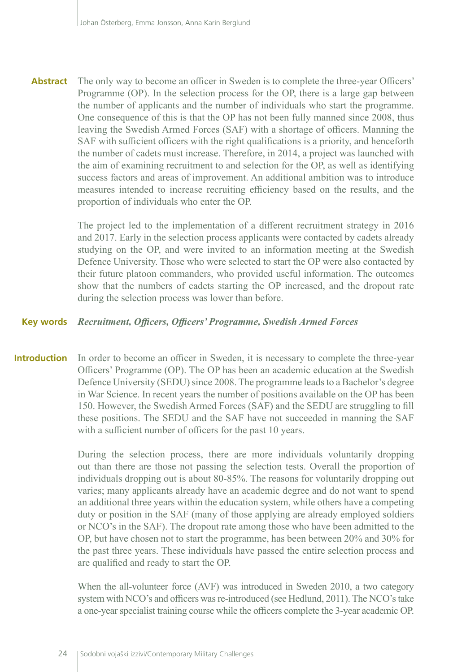The only way to become an officer in Sweden is to complete the three-year Officers' Programme (OP). In the selection process for the OP, there is a large gap between the number of applicants and the number of individuals who start the programme. One consequence of this is that the OP has not been fully manned since 2008, thus leaving the Swedish Armed Forces (SAF) with a shortage of officers. Manning the SAF with sufficient officers with the right qualifications is a priority, and henceforth the number of cadets must increase. Therefore, in 2014, a project was launched with the aim of examining recruitment to and selection for the OP, as well as identifying success factors and areas of improvement. An additional ambition was to introduce measures intended to increase recruiting efficiency based on the results, and the proportion of individuals who enter the OP. **Abstract**

> The project led to the implementation of a different recruitment strategy in 2016 and 2017. Early in the selection process applicants were contacted by cadets already studying on the OP, and were invited to an information meeting at the Swedish Defence University. Those who were selected to start the OP were also contacted by their future platoon commanders, who provided useful information. The outcomes show that the numbers of cadets starting the OP increased, and the dropout rate during the selection process was lower than before.

#### *Recruitment, Officers, Officers' Programme, Swedish Armed Forces* **Key words**

In order to become an officer in Sweden, it is necessary to complete the three-year Officers' Programme (OP). The OP has been an academic education at the Swedish Defence University (SEDU) since 2008. The programme leads to a Bachelor's degree in War Science. In recent years the number of positions available on the OP has been 150. However, the Swedish Armed Forces (SAF) and the SEDU are struggling to fill these positions. The SEDU and the SAF have not succeeded in manning the SAF with a sufficient number of officers for the past 10 years. **Introduction**

> During the selection process, there are more individuals voluntarily dropping out than there are those not passing the selection tests. Overall the proportion of individuals dropping out is about 80-85%. The reasons for voluntarily dropping out varies; many applicants already have an academic degree and do not want to spend an additional three years within the education system, while others have a competing duty or position in the SAF (many of those applying are already employed soldiers or NCO's in the SAF). The dropout rate among those who have been admitted to the OP, but have chosen not to start the programme, has been between 20% and 30% for the past three years. These individuals have passed the entire selection process and are qualified and ready to start the OP.

> When the all-volunteer force (AVF) was introduced in Sweden 2010, a two category system with NCO's and officers was re-introduced (see Hedlund, 2011). The NCO's take a one-year specialist training course while the officers complete the 3-year academic OP.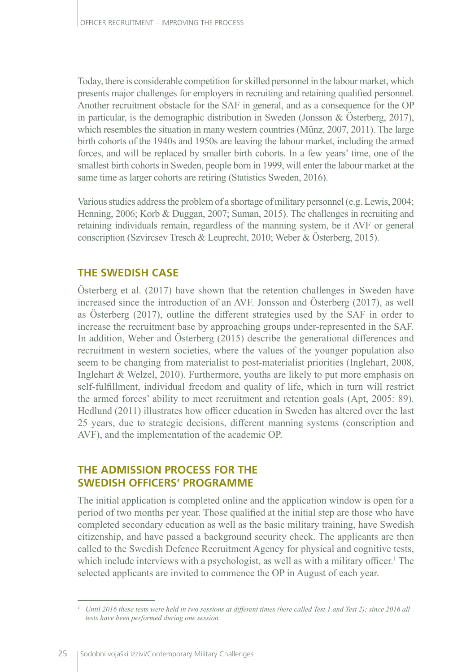Today, there is considerable competition for skilled personnel in the labour market, which presents major challenges for employers in recruiting and retaining qualified personnel. Another recruitment obstacle for the SAF in general, and as a consequence for the OP in particular, is the demographic distribution in Sweden (Jonsson & Österberg, 2017), which resembles the situation in many western countries (Münz, 2007, 2011). The large birth cohorts of the 1940s and 1950s are leaving the labour market, including the armed forces, and will be replaced by smaller birth cohorts. In a few years' time, one of the smallest birth cohorts in Sweden, people born in 1999, will enter the labour market at the same time as larger cohorts are retiring (Statistics Sweden, 2016).

Various studies address the problem of a shortage of military personnel (e.g. Lewis, 2004; Henning, 2006; Korb & Duggan, 2007; Suman, 2015). The challenges in recruiting and retaining individuals remain, regardless of the manning system, be it AVF or general conscription (Szvircsev Tresch & Leuprecht, 2010; Weber & Österberg, 2015).

### **THE SWEDISH CASE**

Österberg et al. (2017) have shown that the retention challenges in Sweden have increased since the introduction of an AVF. Jonsson and Österberg (2017), as well as Österberg (2017), outline the different strategies used by the SAF in order to increase the recruitment base by approaching groups under-represented in the SAF. In addition, Weber and Österberg (2015) describe the generational differences and recruitment in western societies, where the values of the younger population also seem to be changing from materialist to post-materialist priorities (Inglehart, 2008, Inglehart & Welzel, 2010). Furthermore, youths are likely to put more emphasis on self-fulfillment, individual freedom and quality of life, which in turn will restrict the armed forces' ability to meet recruitment and retention goals (Apt, 2005: 89). Hedlund (2011) illustrates how officer education in Sweden has altered over the last 25 years, due to strategic decisions, different manning systems (conscription and AVF), and the implementation of the academic OP.

## **THE ADMISSION PROCESS FOR THE SWEDISH OFFICERS' PROGRAMME**

The initial application is completed online and the application window is open for a period of two months per year. Those qualified at the initial step are those who have completed secondary education as well as the basic military training, have Swedish citizenship, and have passed a background security check. The applicants are then called to the Swedish Defence Recruitment Agency for physical and cognitive tests, which include interviews with a psychologist, as well as with a military officer.<sup>1</sup> The selected applicants are invited to commence the OP in August of each year.

*<sup>1</sup> Until 2016 these tests were held in two sessions at different times (here called Test 1 and Test 2); since 2016 all tests have been performed during one session.*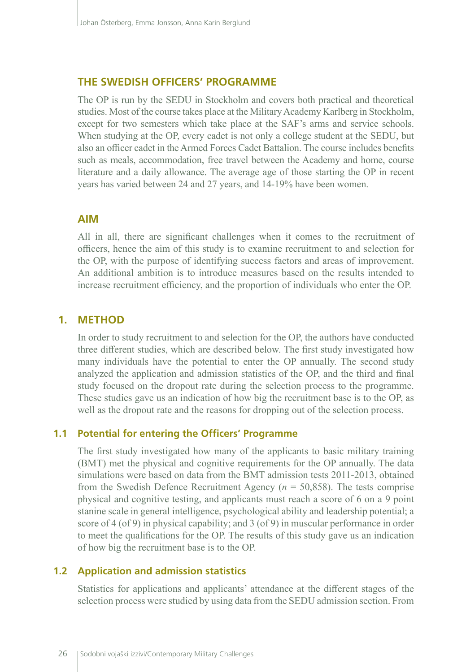#### **THE SWEDISH OFFICERS' PROGRAMME**

The OP is run by the SEDU in Stockholm and covers both practical and theoretical studies. Most of the course takes place at the Military Academy Karlberg in Stockholm, except for two semesters which take place at the SAF's arms and service schools. When studying at the OP, every cadet is not only a college student at the SEDU, but also an officer cadet in the Armed Forces Cadet Battalion. The course includes benefits such as meals, accommodation, free travel between the Academy and home, course literature and a daily allowance. The average age of those starting the OP in recent years has varied between 24 and 27 years, and 14-19% have been women.

### **AIM**

All in all, there are significant challenges when it comes to the recruitment of officers, hence the aim of this study is to examine recruitment to and selection for the OP, with the purpose of identifying success factors and areas of improvement. An additional ambition is to introduce measures based on the results intended to increase recruitment efficiency, and the proportion of individuals who enter the OP.

### **1. METHOD**

In order to study recruitment to and selection for the OP, the authors have conducted three different studies, which are described below. The first study investigated how many individuals have the potential to enter the OP annually. The second study analyzed the application and admission statistics of the OP, and the third and final study focused on the dropout rate during the selection process to the programme. These studies gave us an indication of how big the recruitment base is to the OP, as well as the dropout rate and the reasons for dropping out of the selection process.

#### **1.1 Potential for entering the Officers' Programme**

The first study investigated how many of the applicants to basic military training (BMT) met the physical and cognitive requirements for the OP annually. The data simulations were based on data from the BMT admission tests 2011-2013, obtained from the Swedish Defence Recruitment Agency (*n* = 50,858). The tests comprise physical and cognitive testing, and applicants must reach a score of 6 on a 9 point stanine scale in general intelligence, psychological ability and leadership potential; a score of 4 (of 9) in physical capability; and 3 (of 9) in muscular performance in order to meet the qualifications for the OP. The results of this study gave us an indication of how big the recruitment base is to the OP.

#### **1.2 Application and admission statistics**

Statistics for applications and applicants' attendance at the different stages of the selection process were studied by using data from the SEDU admission section. From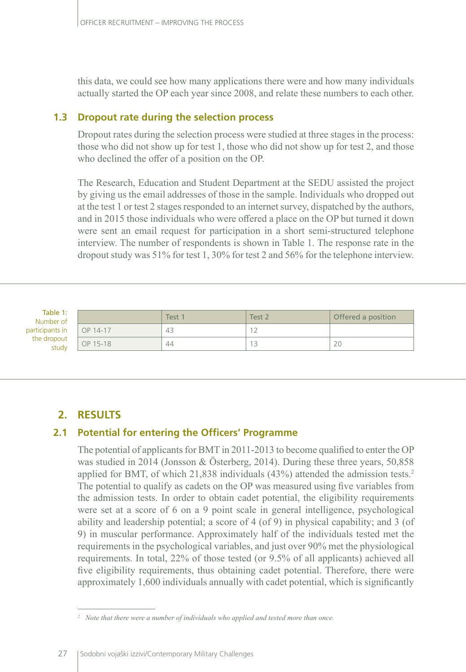this data, we could see how many applications there were and how many individuals actually started the OP each year since 2008, and relate these numbers to each other.

#### **1.3 Dropout rate during the selection process**

Dropout rates during the selection process were studied at three stages in the process: those who did not show up for test 1, those who did not show up for test 2, and those who declined the offer of a position on the OP.

The Research, Education and Student Department at the SEDU assisted the project by giving us the email addresses of those in the sample. Individuals who dropped out at the test 1 or test 2 stages responded to an internet survey, dispatched by the authors, and in 2015 those individuals who were offered a place on the OP but turned it down were sent an email request for participation in a short semi-structured telephone interview. The number of respondents is shown in Table 1. The response rate in the dropout study was 51% for test 1, 30% for test 2 and 56% for the telephone interview.

Table 1: Num participa the dr

| ble 1:<br>ber of |          | Test 1 | Test <sub>2</sub> | Offered a position |
|------------------|----------|--------|-------------------|--------------------|
| nts in           | OP 14-17 | 43     | $\sim$            |                    |
| opout<br>study   | OP 15-18 | 44     | ر ا               | ZU                 |

# **2. RESULTS**

# **2.1 Potential for entering the Officers' Programme**

The potential of applicants for BMT in 2011-2013 to become qualified to enter the OP was studied in 2014 (Jonsson & Österberg, 2014). During these three years, 50,858 applied for BMT, of which 21,838 individuals (43%) attended the admission tests.<sup>2</sup> The potential to qualify as cadets on the OP was measured using five variables from the admission tests. In order to obtain cadet potential, the eligibility requirements were set at a score of 6 on a 9 point scale in general intelligence, psychological ability and leadership potential; a score of 4 (of 9) in physical capability; and 3 (of 9) in muscular performance. Approximately half of the individuals tested met the requirements in the psychological variables, and just over 90% met the physiological requirements. In total, 22% of those tested (or 9.5% of all applicants) achieved all five eligibility requirements, thus obtaining cadet potential. Therefore, there were approximately 1,600 individuals annually with cadet potential, which is significantly

*<sup>2</sup> Note that there were a number of individuals who applied and tested more than once.*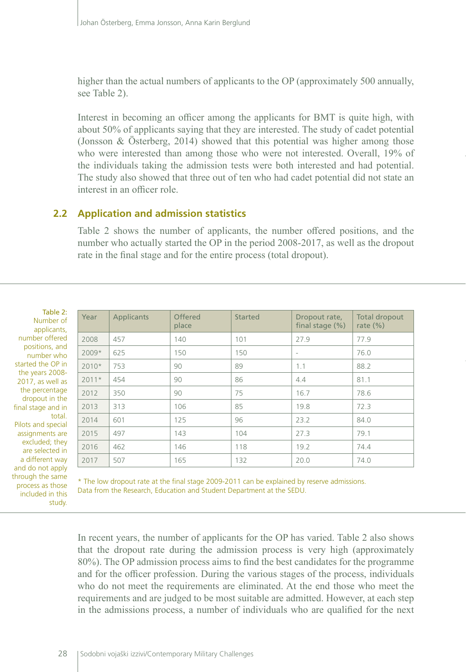higher than the actual numbers of applicants to the OP (approximately 500 annually, see Table 2).

Interest in becoming an officer among the applicants for BMT is quite high, with about 50% of applicants saying that they are interested. The study of cadet potential (Jonsson & Österberg, 2014) showed that this potential was higher among those who were interested than among those who were not interested. Overall, 19% of the individuals taking the admission tests were both interested and had potential. The study also showed that three out of ten who had cadet potential did not state an interest in an officer role.

#### **2.2 Application and admission statistics**

Table 2 shows the number of applicants, the number offered positions, and the number who actually started the OP in the period 2008-2017, as well as the dropout rate in the final stage and for the entire process (total dropout).

Table 2: Number applicant number offer positions, and number w started the OP the years 200  $2017$ , as well the percenta dropout in th final stage and tot. Pilots and speci assignments a excluded; th are selected a different w and do not apply through the same process as those included in this study.

| z.<br>of<br>ts, | Year    | Applicants | Offered<br>place | Started | Dropout rate,<br>final stage $(\%)$ | Total dropout<br>rate $(\%)$ |
|-----------------|---------|------------|------------------|---------|-------------------------------------|------------------------------|
| ed              | 2008    | 457        | 140              | 101     | 27.9                                | 77.9                         |
| nd<br>ho        | 2009*   | 625        | 150              | 150     | $\overline{\phantom{a}}$            | 76.0                         |
| in.             | $2010*$ | 753        | 90               | 89      | 1.1                                 | 88.2                         |
| 18-<br>as       | $2011*$ | 454        | 90               | 86      | 4.4                                 | 81.1                         |
| ge<br>he        | 2012    | 350        | 90               | 75      | 16.7                                | 78.6                         |
| in.             | 2013    | 313        | 106              | 85      | 19.8                                | 72.3                         |
| al.<br>ial      | 2014    | 601        | 125              | 96      | 23.2                                | 84.0                         |
| are             | 2015    | 497        | 143              | 104     | 27.3                                | 79.1                         |
| ey<br>in        | 2016    | 462        | 146              | 118     | 19.2                                | 74.4                         |
| 'ay             | 2017    | 507        | 165              | 132     | 20.0                                | 74.0                         |

\* The low dropout rate at the final stage 2009-2011 can be explained by reserve admissions. Data from the Research, Education and Student Department at the SEDU.

In recent years, the number of applicants for the OP has varied. Table 2 also shows that the dropout rate during the admission process is very high (approximately 80%). The OP admission process aims to find the best candidates for the programme and for the officer profession. During the various stages of the process, individuals who do not meet the requirements are eliminated. At the end those who meet the requirements and are judged to be most suitable are admitted. However, at each step in the admissions process, a number of individuals who are qualified for the next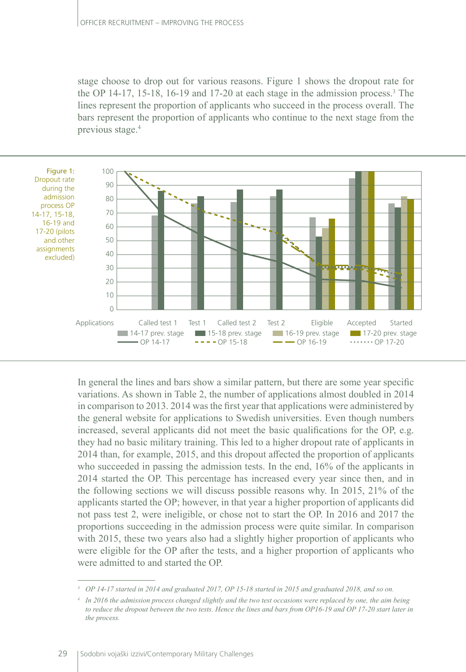stage choose to drop out for various reasons. Figure 1 shows the dropout rate for the OP 14-17, 15-18, 16-19 and 17-20 at each stage in the admission process.<sup>3</sup> The lines represent the proportion of applicants who succeed in the process overall. The bars represent the proportion of applicants who continue to the next stage from the previous stage.4



In general the lines and bars show a similar pattern, but there are some year specific variations. As shown in Table 2, the number of applications almost doubled in 2014 in comparison to 2013. 2014 was the first year that applications were administered by the general website for applications to Swedish universities. Even though numbers increased, several applicants did not meet the basic qualifications for the OP, e.g. they had no basic military training. This led to a higher dropout rate of applicants in 2014 than, for example, 2015, and this dropout affected the proportion of applicants who succeeded in passing the admission tests. In the end, 16% of the applicants in 2014 started the OP. This percentage has increased every year since then, and in the following sections we will discuss possible reasons why. In 2015, 21% of the applicants started the OP; however, in that year a higher proportion of applicants did not pass test 2, were ineligible, or chose not to start the OP. In 2016 and 2017 the proportions succeeding in the admission process were quite similar. In comparison with 2015, these two years also had a slightly higher proportion of applicants who were eligible for the OP after the tests, and a higher proportion of applicants who were admitted to and started the OP.

*<sup>3</sup> OP 14-17 started in 2014 and graduated 2017, OP 15-18 started in 2015 and graduated 2018, and so on.*

*<sup>4</sup> In 2016 the admission process changed slightly and the two test occasions were replaced by one, the aim being to reduce the dropout between the two tests. Hence the lines and bars from OP16-19 and OP 17-20 start later in the process.*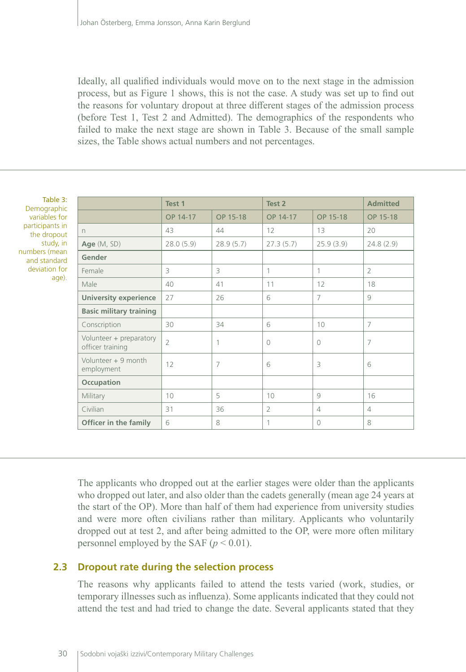Ideally, all qualified individuals would move on to the next stage in the admission process, but as Figure 1 shows, this is not the case. A study was set up to find out the reasons for voluntary dropout at three different stages of the admission process (before Test 1, Test 2 and Admitted). The demographics of the respondents who failed to make the next stage are shown in Table 3. Because of the small sample sizes, the Table shows actual numbers and not percentages.

| Table 3:<br>Demographic                     | Test 1         |                | Test 2         |                | <b>Admitted</b> |
|---------------------------------------------|----------------|----------------|----------------|----------------|-----------------|
| variables for                               | OP 14-17       | OP 15-18       | OP 14-17       | OP 15-18       | OP 15-18        |
| participants in<br>$\Gamma$<br>the dropout  | 43             | 44             | 12             | 13             | 20              |
| study, in<br>Age $(M, SD)$                  | 28.0(5.9)      | 28.9(5.7)      | 27.3(5.7)      | 25.9(3.9)      | 24.8(2.9)       |
| numbers (mean<br>Gender<br>and standard     |                |                |                |                |                 |
| deviation for<br>Female                     | 3              | 3              | 1              | 1              | $\overline{2}$  |
| age).<br>Male                               | 40             | 41             | 11             | 12             | 18              |
| <b>University experience</b>                | 27             | 26             | 6              | $\overline{7}$ | 9               |
| <b>Basic military training</b>              |                |                |                |                |                 |
| Conscription                                | 30             | 34             | 6              | 10             | $\overline{7}$  |
| Volunteer + preparatory<br>officer training | $\overline{2}$ | 1              | $\bigcap$      | $\Omega$       | 7               |
| Volunteer $+9$ month<br>employment          | 12             | $\overline{7}$ | 6              | $\overline{3}$ | 6               |
| Occupation                                  |                |                |                |                |                 |
| Military                                    | 10             | 5              | 10             | 9              | 16              |
| Civilian                                    | 31             | 36             | $\overline{2}$ | 4              | $\overline{4}$  |
| <b>Officer in the family</b>                | 6              | 8              | 1              | $\Omega$       | 8               |

The applicants who dropped out at the earlier stages were older than the applicants who dropped out later, and also older than the cadets generally (mean age 24 years at the start of the OP). More than half of them had experience from university studies and were more often civilians rather than military. Applicants who voluntarily dropped out at test 2, and after being admitted to the OP, were more often military personnel employed by the SAF  $(p < 0.01)$ .

# **2.3 Dropout rate during the selection process**

The reasons why applicants failed to attend the tests varied (work, studies, or temporary illnesses such as influenza). Some applicants indicated that they could not attend the test and had tried to change the date. Several applicants stated that they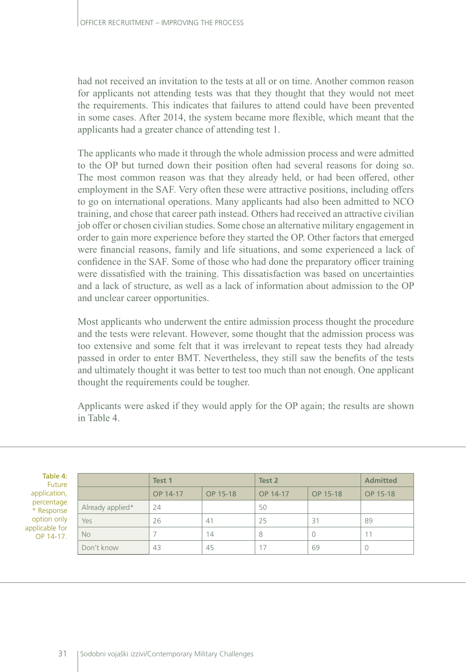had not received an invitation to the tests at all or on time. Another common reason for applicants not attending tests was that they thought that they would not meet the requirements. This indicates that failures to attend could have been prevented in some cases. After 2014, the system became more flexible, which meant that the applicants had a greater chance of attending test 1.

The applicants who made it through the whole admission process and were admitted to the OP but turned down their position often had several reasons for doing so. The most common reason was that they already held, or had been offered, other employment in the SAF. Very often these were attractive positions, including offers to go on international operations. Many applicants had also been admitted to NCO training, and chose that career path instead. Others had received an attractive civilian job offer or chosen civilian studies. Some chose an alternative military engagement in order to gain more experience before they started the OP. Other factors that emerged were financial reasons, family and life situations, and some experienced a lack of confidence in the SAF. Some of those who had done the preparatory officer training were dissatisfied with the training. This dissatisfaction was based on uncertainties and a lack of structure, as well as a lack of information about admission to the OP and unclear career opportunities.

Most applicants who underwent the entire admission process thought the procedure and the tests were relevant. However, some thought that the admission process was too extensive and some felt that it was irrelevant to repeat tests they had already passed in order to enter BMT. Nevertheless, they still saw the benefits of the tests and ultimately thought it was better to test too much than not enough. One applicant thought the requirements could be tougher.

Applicants were asked if they would apply for the OP again; the results are shown in Table 4.

| Table 4:<br>Future          |                  | Test 1   |          | Test 2   |          | <b>Admitted</b> |
|-----------------------------|------------------|----------|----------|----------|----------|-----------------|
| application,                |                  | OP 14-17 | OP 15-18 | OP 14-17 | OP 15-18 | OP 15-18        |
| percentage<br>* Response    | Already applied* | 24       |          | 50       |          |                 |
| option only                 | Yes              | 26       | 41       | 25       | 31       | 89              |
| applicable for<br>OP 14-17. | <b>No</b>        |          | 14       | 8        |          |                 |
|                             | Don't know       | 43       | 45       | 17       | 69       | $\Omega$        |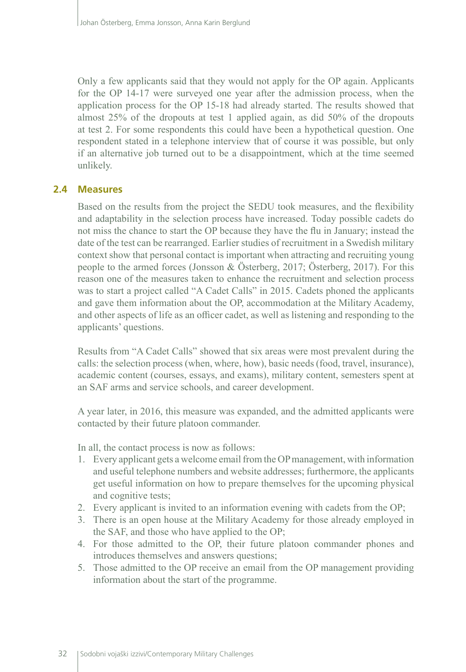Only a few applicants said that they would not apply for the OP again. Applicants for the OP 14-17 were surveyed one year after the admission process, when the application process for the OP 15-18 had already started. The results showed that almost 25% of the dropouts at test 1 applied again, as did 50% of the dropouts at test 2. For some respondents this could have been a hypothetical question. One respondent stated in a telephone interview that of course it was possible, but only if an alternative job turned out to be a disappointment, which at the time seemed unlikely.

#### **2.4 Measures**

Based on the results from the project the SEDU took measures, and the flexibility and adaptability in the selection process have increased. Today possible cadets do not miss the chance to start the OP because they have the flu in January; instead the date of the test can be rearranged. Earlier studies of recruitment in a Swedish military context show that personal contact is important when attracting and recruiting young people to the armed forces (Jonsson & Österberg, 2017; Österberg, 2017). For this reason one of the measures taken to enhance the recruitment and selection process was to start a project called "A Cadet Calls" in 2015. Cadets phoned the applicants and gave them information about the OP, accommodation at the Military Academy, and other aspects of life as an officer cadet, as well as listening and responding to the applicants' questions.

Results from "A Cadet Calls" showed that six areas were most prevalent during the calls: the selection process (when, where, how), basic needs (food, travel, insurance), academic content (courses, essays, and exams), military content, semesters spent at an SAF arms and service schools, and career development.

A year later, in 2016, this measure was expanded, and the admitted applicants were contacted by their future platoon commander.

In all, the contact process is now as follows:

- 1. Every applicant gets a welcome email from the OP management, with information and useful telephone numbers and website addresses; furthermore, the applicants get useful information on how to prepare themselves for the upcoming physical and cognitive tests;
- 2. Every applicant is invited to an information evening with cadets from the OP;
- 3. There is an open house at the Military Academy for those already employed in the SAF, and those who have applied to the OP;
- 4. For those admitted to the OP, their future platoon commander phones and introduces themselves and answers questions;
- 5. Those admitted to the OP receive an email from the OP management providing information about the start of the programme.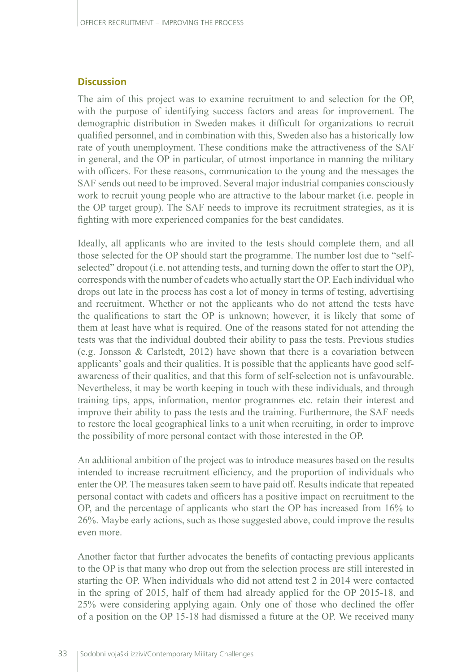#### **Discussion**

The aim of this project was to examine recruitment to and selection for the OP, with the purpose of identifying success factors and areas for improvement. The demographic distribution in Sweden makes it difficult for organizations to recruit qualified personnel, and in combination with this, Sweden also has a historically low rate of youth unemployment. These conditions make the attractiveness of the SAF in general, and the OP in particular, of utmost importance in manning the military with officers. For these reasons, communication to the young and the messages the SAF sends out need to be improved. Several major industrial companies consciously work to recruit young people who are attractive to the labour market (i.e. people in the OP target group). The SAF needs to improve its recruitment strategies, as it is fighting with more experienced companies for the best candidates.

Ideally, all applicants who are invited to the tests should complete them, and all those selected for the OP should start the programme. The number lost due to "selfselected" dropout (i.e. not attending tests, and turning down the offer to start the OP), corresponds with the number of cadets who actually start the OP. Each individual who drops out late in the process has cost a lot of money in terms of testing, advertising and recruitment. Whether or not the applicants who do not attend the tests have the qualifications to start the OP is unknown; however, it is likely that some of them at least have what is required. One of the reasons stated for not attending the tests was that the individual doubted their ability to pass the tests. Previous studies (e.g. Jonsson & Carlstedt, 2012) have shown that there is a covariation between applicants' goals and their qualities. It is possible that the applicants have good selfawareness of their qualities, and that this form of self-selection not is unfavourable. Nevertheless, it may be worth keeping in touch with these individuals, and through training tips, apps, information, mentor programmes etc. retain their interest and improve their ability to pass the tests and the training. Furthermore, the SAF needs to restore the local geographical links to a unit when recruiting, in order to improve the possibility of more personal contact with those interested in the OP.

An additional ambition of the project was to introduce measures based on the results intended to increase recruitment efficiency, and the proportion of individuals who enter the OP. The measures taken seem to have paid off. Results indicate that repeated personal contact with cadets and officers has a positive impact on recruitment to the OP, and the percentage of applicants who start the OP has increased from 16% to 26%. Maybe early actions, such as those suggested above, could improve the results even more.

Another factor that further advocates the benefits of contacting previous applicants to the OP is that many who drop out from the selection process are still interested in starting the OP. When individuals who did not attend test 2 in 2014 were contacted in the spring of 2015, half of them had already applied for the OP 2015-18, and 25% were considering applying again. Only one of those who declined the offer of a position on the OP 15-18 had dismissed a future at the OP. We received many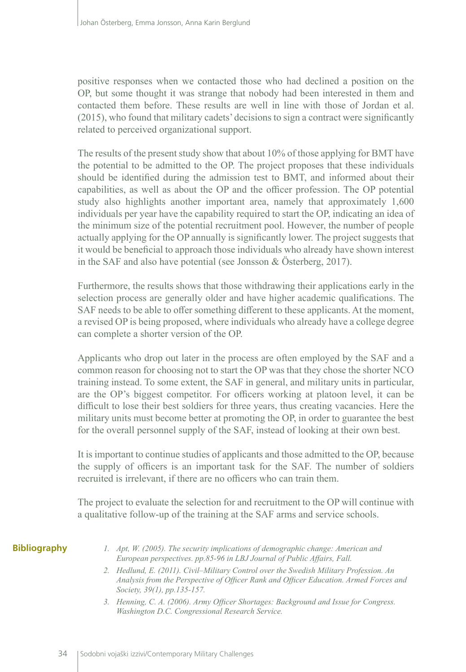positive responses when we contacted those who had declined a position on the OP, but some thought it was strange that nobody had been interested in them and contacted them before. These results are well in line with those of Jordan et al. (2015), who found that military cadets' decisions to sign a contract were significantly related to perceived organizational support.

The results of the present study show that about 10% of those applying for BMT have the potential to be admitted to the OP. The project proposes that these individuals should be identified during the admission test to BMT, and informed about their capabilities, as well as about the OP and the officer profession. The OP potential study also highlights another important area, namely that approximately 1,600 individuals per year have the capability required to start the OP, indicating an idea of the minimum size of the potential recruitment pool. However, the number of people actually applying for the OP annually is significantly lower. The project suggests that it would be beneficial to approach those individuals who already have shown interest in the SAF and also have potential (see Jonsson & Österberg, 2017).

Furthermore, the results shows that those withdrawing their applications early in the selection process are generally older and have higher academic qualifications. The SAF needs to be able to offer something different to these applicants. At the moment, a revised OP is being proposed, where individuals who already have a college degree can complete a shorter version of the OP.

Applicants who drop out later in the process are often employed by the SAF and a common reason for choosing not to start the OP was that they chose the shorter NCO training instead. To some extent, the SAF in general, and military units in particular, are the OP's biggest competitor. For officers working at platoon level, it can be difficult to lose their best soldiers for three years, thus creating vacancies. Here the military units must become better at promoting the OP, in order to guarantee the best for the overall personnel supply of the SAF, instead of looking at their own best.

It is important to continue studies of applicants and those admitted to the OP, because the supply of officers is an important task for the SAF. The number of soldiers recruited is irrelevant, if there are no officers who can train them.

The project to evaluate the selection for and recruitment to the OP will continue with a qualitative follow-up of the training at the SAF arms and service schools.

#### **Bibliography**

- *1. Apt, W. (2005). The security implications of demographic change: American and European perspectives. pp.85-96 in LBJ Journal of Public Affairs, Fall.*
- *2. Hedlund, E. (2011). Civil–Military Control over the Swedish Military Profession. An Analysis from the Perspective of Officer Rank and Officer Education. Armed Forces and Society, 39(1), pp.135-157.*
- *3. Henning, C. A. (2006). Army Officer Shortages: Background and Issue for Congress. Washington D.C. Congressional Research Service.*